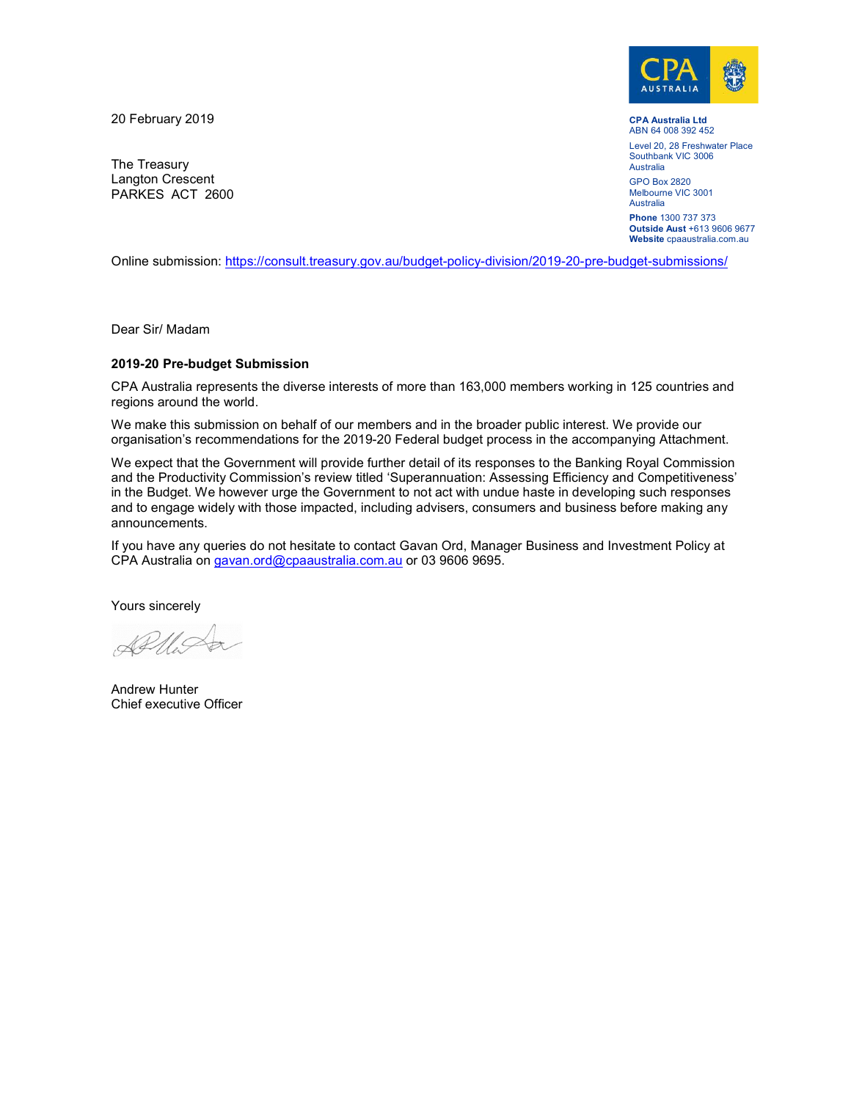

20 February 2019

The Treasury Langton Crescent PARKES ACT 2600

CPA Australia Ltd ABN 64 008 392 452 Level 20, 28 Freshwater Place Southbank VIC 3006 Australia GPO Box 2820 Melbourne VIC 3001 Australia

Phone 1300 737 373 Outside Aust +613 9606 9677 Website cpaaustralia.com.au

Online submission: <u>https://consult.treasury.gov.au/budget-policy-division/2019-20-pre-budget-submissions/</u><br>Dear Sir/ Madam

#### 2019-20 Pre-budget Submission

CPA Australia represents the diverse interests of more than 163,000 members working in 125 countries and regions around the world.

We make this submission on behalf of our members and in the broader public interest. We provide our organisation's recommendations for the 2019-20 Federal budget process in the accompanying Attachment.

We expect that the Government will provide further detail of its responses to the Banking Royal Commission and the Productivity Commission's review titled 'Superannuation: Assessing Efficiency and Competitiveness' in the Budget. We however urge the Government to not act with undue haste in developing such responses and to engage widely with those impacted, including advisers, consumers and business before making any announcements.

If you have any queries do not hesitate to contact Gavan Ord, Manager Business and Investment Policy at CPA Australia on gavan.ord@cpaaustralia.com.au or 03 9606 9695.

Yours sincerely

 $\mathscr{R}$ lla

Andrew Hunter Chief executive Officer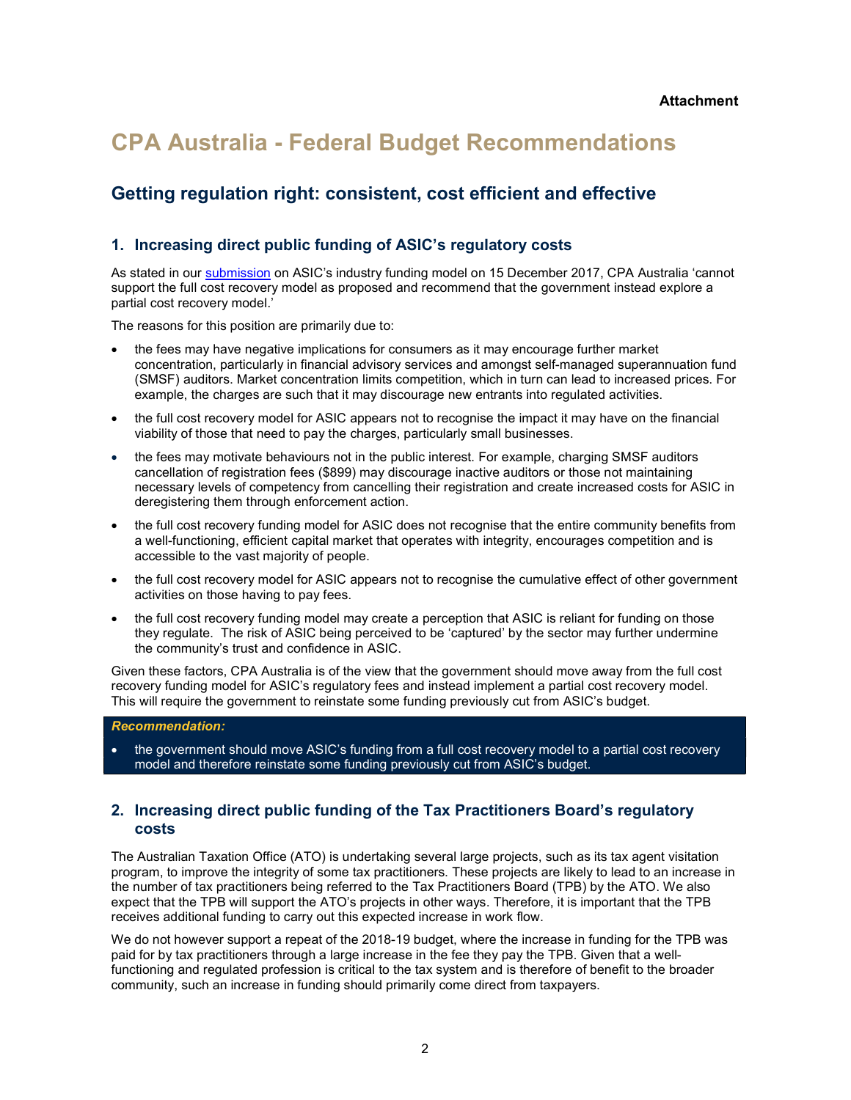# CPA Australia - Federal Budget Recommendations

## Getting regulation right: consistent, cost efficient and effective

## 1. Increasing direct public funding of ASIC's regulatory costs

As stated in our submission on ASIC's industry funding model on 15 December 2017, CPA Australia 'cannot support the full cost recovery model as proposed and recommend that the government instead explore a partial cost recovery model.'

The reasons for this position are primarily due to:

- the fees may have negative implications for consumers as it may encourage further market concentration, particularly in financial advisory services and amongst self-managed superannuation fund (SMSF) auditors. Market concentration limits competition, which in turn can lead to increased prices. For example, the charges are such that it may discourage new entrants into regulated activities.
- the full cost recovery model for ASIC appears not to recognise the impact it may have on the financial viability of those that need to pay the charges, particularly small businesses.
- the fees may motivate behaviours not in the public interest. For example, charging SMSF auditors cancellation of registration fees (\$899) may discourage inactive auditors or those not maintaining necessary levels of competency from cancelling their registration and create increased costs for ASIC in deregistering them through enforcement action.
- the full cost recovery funding model for ASIC does not recognise that the entire community benefits from a well-functioning, efficient capital market that operates with integrity, encourages competition and is accessible to the vast majority of people.
- the full cost recovery model for ASIC appears not to recognise the cumulative effect of other government activities on those having to pay fees.
- the full cost recovery funding model may create a perception that ASIC is reliant for funding on those they regulate. The risk of ASIC being perceived to be 'captured' by the sector may further undermine the community's trust and confidence in ASIC.

Given these factors, CPA Australia is of the view that the government should move away from the full cost recovery funding model for ASIC's regulatory fees and instead implement a partial cost recovery model. This will require the government to reinstate some funding previously cut from ASIC's budget.

### Recommendation:

 the government should move ASIC's funding from a full cost recovery model to a partial cost recovery model and therefore reinstate some funding previously cut from ASIC's budget.

## 2. Increasing direct public funding of the Tax Practitioners Board's regulatory costs

The Australian Taxation Office (ATO) is undertaking several large projects, such as its tax agent visitation program, to improve the integrity of some tax practitioners. These projects are likely to lead to an increase in the number of tax practitioners being referred to the Tax Practitioners Board (TPB) by the ATO. We also expect that the TPB will support the ATO's projects in other ways. Therefore, it is important that the TPB receives additional funding to carry out this expected increase in work flow.

We do not however support a repeat of the 2018-19 budget, where the increase in funding for the TPB was paid for by tax practitioners through a large increase in the fee they pay the TPB. Given that a wellfunctioning and regulated profession is critical to the tax system and is therefore of benefit to the broader community, such an increase in funding should primarily come direct from taxpayers.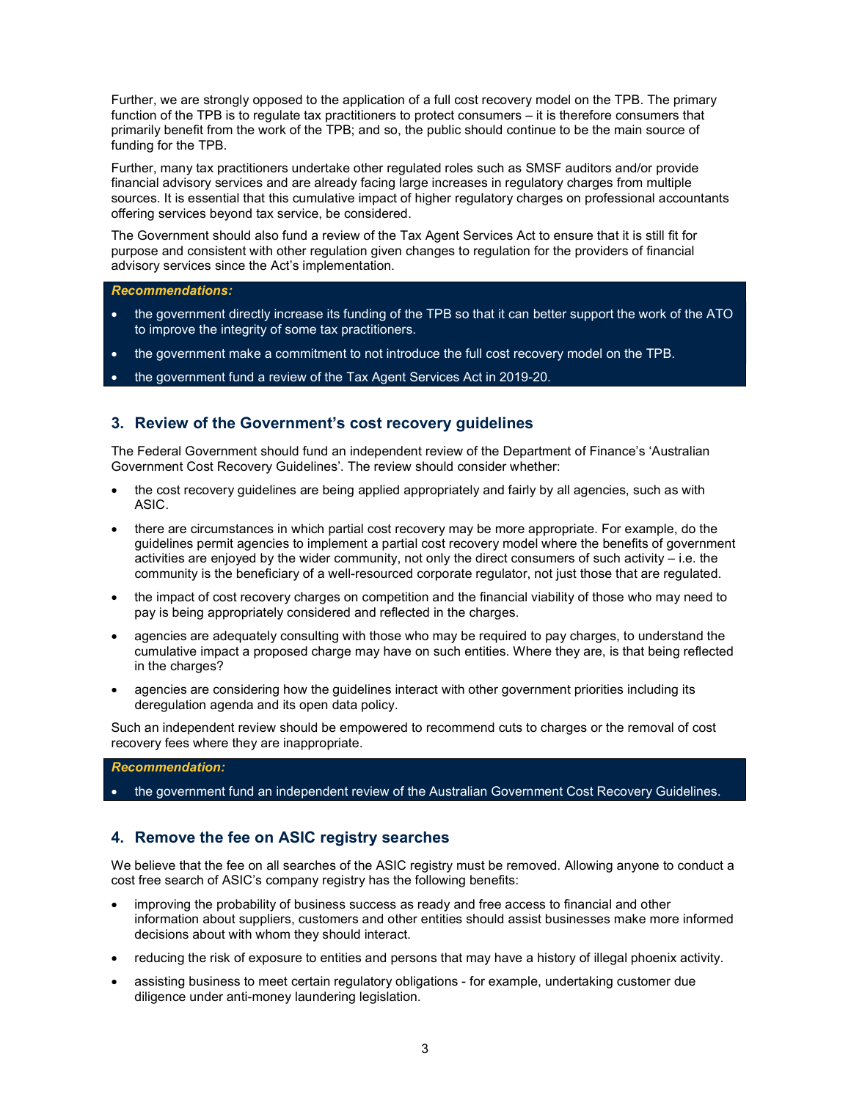Further, we are strongly opposed to the application of a full cost recovery model on the TPB. The primary function of the TPB is to regulate tax practitioners to protect consumers – it is therefore consumers that primarily benefit from the work of the TPB; and so, the public should continue to be the main source of funding for the TPB.

Further, many tax practitioners undertake other regulated roles such as SMSF auditors and/or provide financial advisory services and are already facing large increases in regulatory charges from multiple sources. It is essential that this cumulative impact of higher regulatory charges on professional accountants offering services beyond tax service, be considered.

The Government should also fund a review of the Tax Agent Services Act to ensure that it is still fit for purpose and consistent with other regulation given changes to regulation for the providers of financial advisory services since the Act's implementation.

#### Recommendations:

- the government directly increase its funding of the TPB so that it can better support the work of the ATO to improve the integrity of some tax practitioners.
- the government make a commitment to not introduce the full cost recovery model on the TPB.
- the government fund a review of the Tax Agent Services Act in 2019-20.

## 3. Review of the Government's cost recovery guidelines

The Federal Government should fund an independent review of the Department of Finance's 'Australian Government Cost Recovery Guidelines'. The review should consider whether:

- the cost recovery guidelines are being applied appropriately and fairly by all agencies, such as with ASIC.
- there are circumstances in which partial cost recovery may be more appropriate. For example, do the guidelines permit agencies to implement a partial cost recovery model where the benefits of government activities are enjoyed by the wider community, not only the direct consumers of such activity – i.e. the community is the beneficiary of a well-resourced corporate regulator, not just those that are regulated.
- the impact of cost recovery charges on competition and the financial viability of those who may need to pay is being appropriately considered and reflected in the charges.
- agencies are adequately consulting with those who may be required to pay charges, to understand the cumulative impact a proposed charge may have on such entities. Where they are, is that being reflected in the charges?
- agencies are considering how the guidelines interact with other government priorities including its deregulation agenda and its open data policy.

Such an independent review should be empowered to recommend cuts to charges or the removal of cost recovery fees where they are inappropriate.

#### Recommendation:

the government fund an independent review of the Australian Government Cost Recovery Guidelines.

## 4. Remove the fee on ASIC registry searches

We believe that the fee on all searches of the ASIC registry must be removed. Allowing anyone to conduct a cost free search of ASIC's company registry has the following benefits:

- improving the probability of business success as ready and free access to financial and other information about suppliers, customers and other entities should assist businesses make more informed decisions about with whom they should interact.
- reducing the risk of exposure to entities and persons that may have a history of illegal phoenix activity.
- assisting business to meet certain regulatory obligations for example, undertaking customer due diligence under anti-money laundering legislation.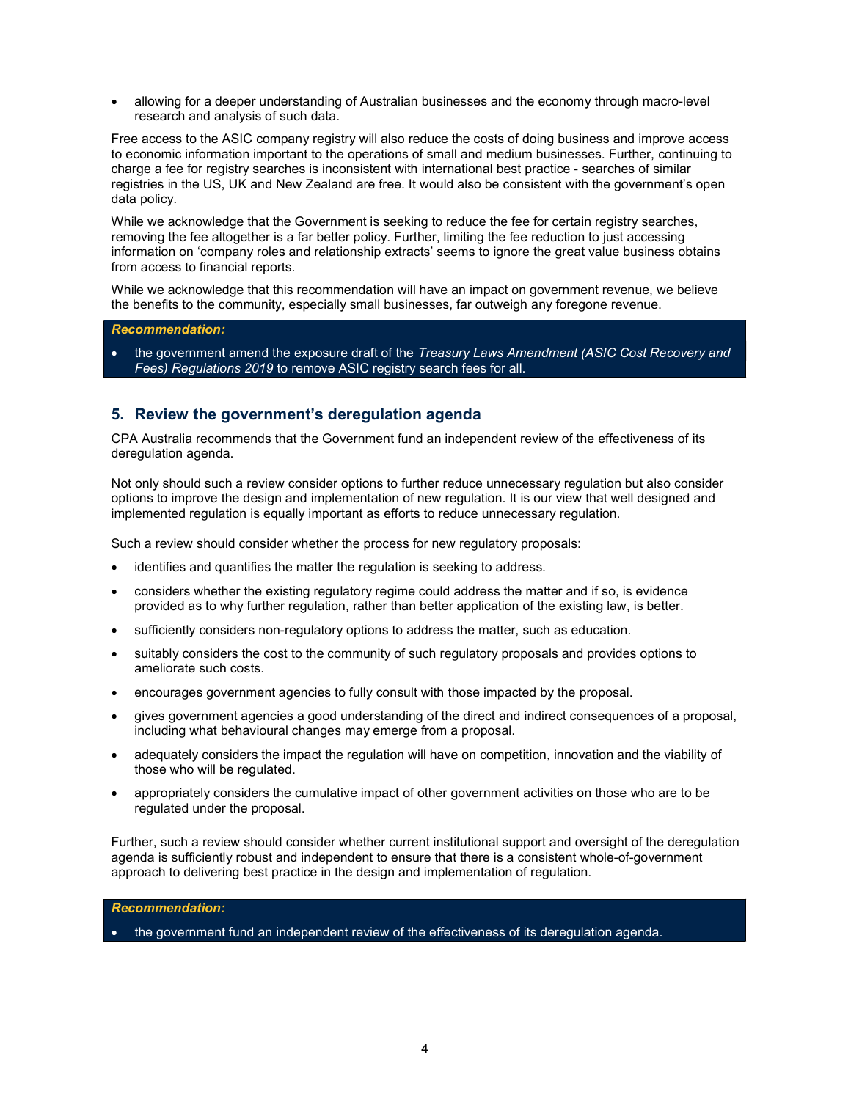allowing for a deeper understanding of Australian businesses and the economy through macro-level research and analysis of such data.

Free access to the ASIC company registry will also reduce the costs of doing business and improve access to economic information important to the operations of small and medium businesses. Further, continuing to charge a fee for registry searches is inconsistent with international best practice - searches of similar registries in the US, UK and New Zealand are free. It would also be consistent with the government's open data policy.

While we acknowledge that the Government is seeking to reduce the fee for certain registry searches, removing the fee altogether is a far better policy. Further, limiting the fee reduction to just accessing information on 'company roles and relationship extracts' seems to ignore the great value business obtains from access to financial reports.

While we acknowledge that this recommendation will have an impact on government revenue, we believe the benefits to the community, especially small businesses, far outweigh any foregone revenue.

#### Recommendation:

the government amend the exposure draft of the Treasury Laws Amendment (ASIC Cost Recovery and Fees) Regulations 2019 to remove ASIC registry search fees for all.

### 5. Review the government's deregulation agenda

CPA Australia recommends that the Government fund an independent review of the effectiveness of its deregulation agenda.

Not only should such a review consider options to further reduce unnecessary regulation but also consider options to improve the design and implementation of new regulation. It is our view that well designed and implemented regulation is equally important as efforts to reduce unnecessary regulation.

Such a review should consider whether the process for new regulatory proposals:

- identifies and quantifies the matter the regulation is seeking to address.
- considers whether the existing regulatory regime could address the matter and if so, is evidence provided as to why further regulation, rather than better application of the existing law, is better.
- sufficiently considers non-regulatory options to address the matter, such as education.
- suitably considers the cost to the community of such regulatory proposals and provides options to ameliorate such costs.
- encourages government agencies to fully consult with those impacted by the proposal.
- gives government agencies a good understanding of the direct and indirect consequences of a proposal, including what behavioural changes may emerge from a proposal.
- adequately considers the impact the regulation will have on competition, innovation and the viability of those who will be regulated.
- appropriately considers the cumulative impact of other government activities on those who are to be regulated under the proposal.

Further, such a review should consider whether current institutional support and oversight of the deregulation agenda is sufficiently robust and independent to ensure that there is a consistent whole-of-government approach to delivering best practice in the design and implementation of regulation.

### Recommendation:

the government fund an independent review of the effectiveness of its deregulation agenda.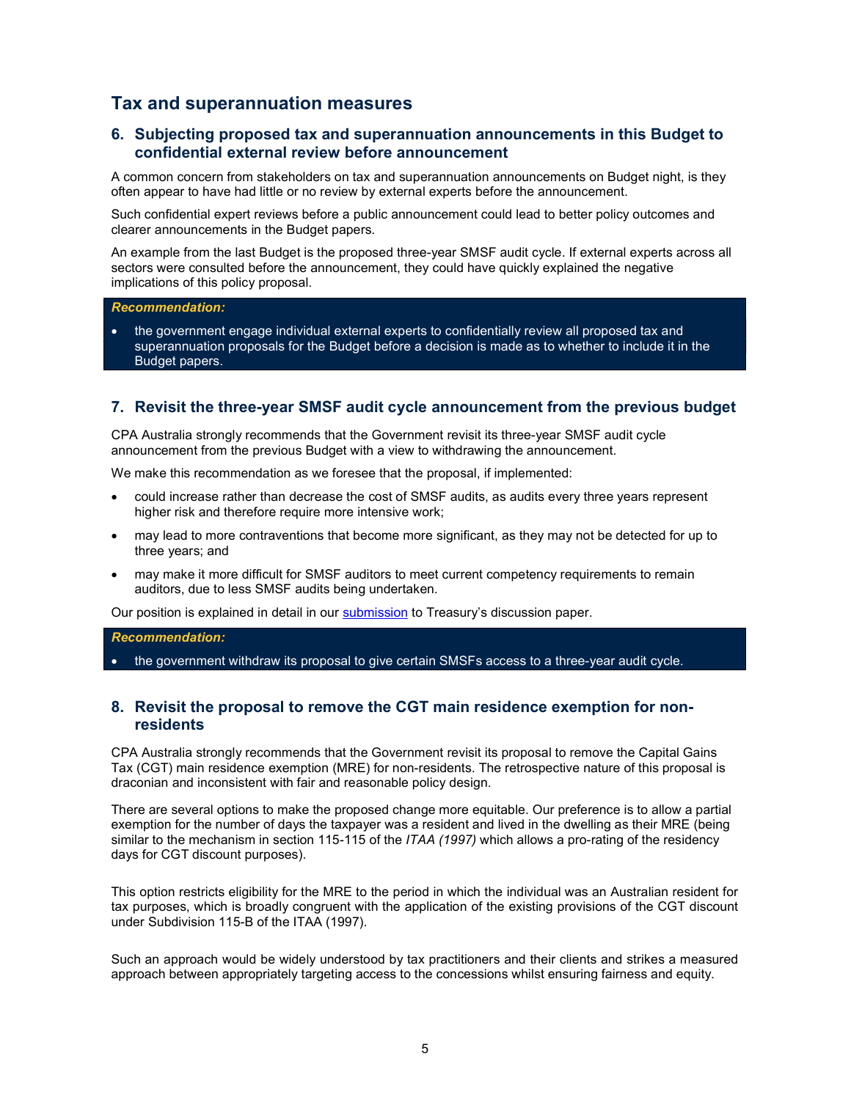## Tax and superannuation measures

## 6. Subjecting proposed tax and superannuation announcements in this Budget to confidential external review before announcement

A common concern from stakeholders on tax and superannuation announcements on Budget night, is they often appear to have had little or no review by external experts before the announcement.

Such confidential expert reviews before a public announcement could lead to better policy outcomes and clearer announcements in the Budget papers.

An example from the last Budget is the proposed three-year SMSF audit cycle. If external experts across all sectors were consulted before the announcement, they could have quickly explained the negative implications of this policy proposal.

#### Recommendation:

 the government engage individual external experts to confidentially review all proposed tax and superannuation proposals for the Budget before a decision is made as to whether to include it in the Budget papers.

## 7. Revisit the three-year SMSF audit cycle announcement from the previous budget

CPA Australia strongly recommends that the Government revisit its three-year SMSF audit cycle announcement from the previous Budget with a view to withdrawing the announcement.

We make this recommendation as we foresee that the proposal, if implemented:

- could increase rather than decrease the cost of SMSF audits, as audits every three years represent higher risk and therefore require more intensive work;
- may lead to more contraventions that become more significant, as they may not be detected for up to three years; and
- may make it more difficult for SMSF auditors to meet current competency requirements to remain auditors, due to less SMSF audits being undertaken.

Our position is explained in detail in our **submission** to Treasury's discussion paper.

#### Recommendation:

the government withdraw its proposal to give certain SMSFs access to a three-year audit cycle.

## 8. Revisit the proposal to remove the CGT main residence exemption for nonresidents

CPA Australia strongly recommends that the Government revisit its proposal to remove the Capital Gains Tax (CGT) main residence exemption (MRE) for non-residents. The retrospective nature of this proposal is draconian and inconsistent with fair and reasonable policy design.

There are several options to make the proposed change more equitable. Our preference is to allow a partial exemption for the number of days the taxpayer was a resident and lived in the dwelling as their MRE (being similar to the mechanism in section 115-115 of the ITAA (1997) which allows a pro-rating of the residency days for CGT discount purposes).

This option restricts eligibility for the MRE to the period in which the individual was an Australian resident for tax purposes, which is broadly congruent with the application of the existing provisions of the CGT discount under Subdivision 115-B of the ITAA (1997).

Such an approach would be widely understood by tax practitioners and their clients and strikes a measured approach between appropriately targeting access to the concessions whilst ensuring fairness and equity.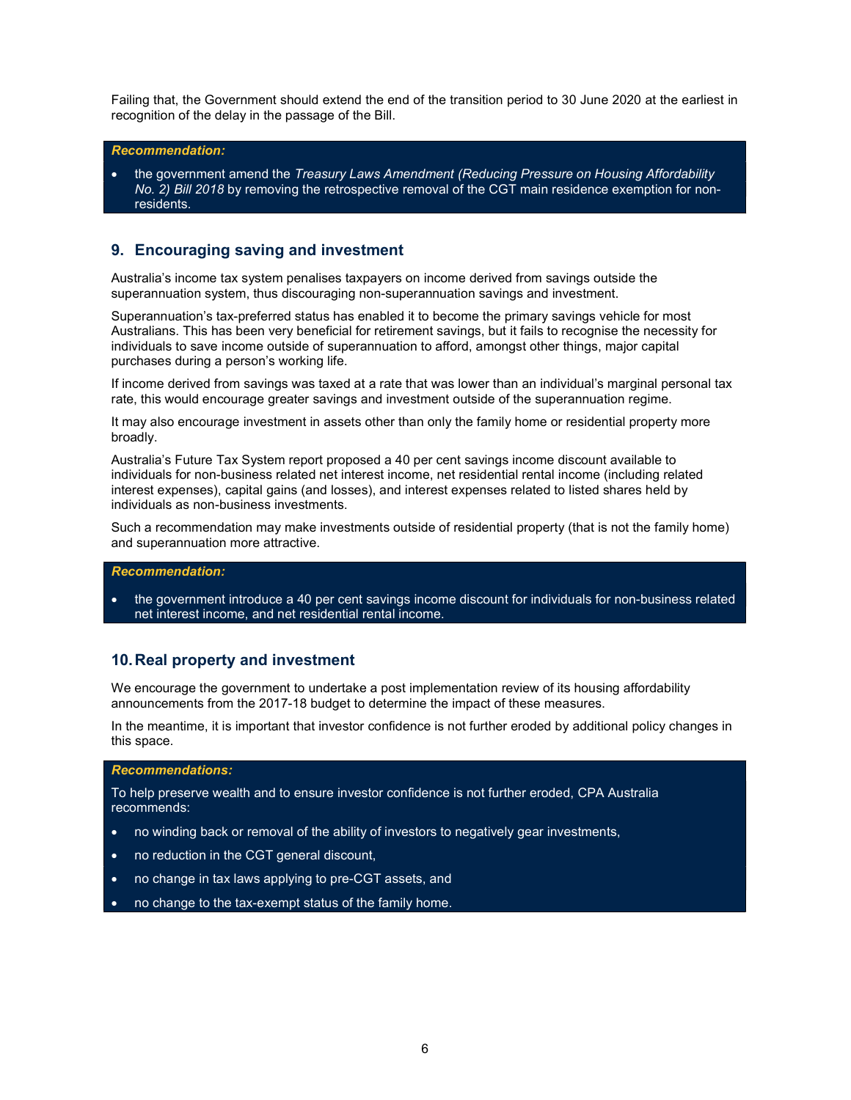Failing that, the Government should extend the end of the transition period to 30 June 2020 at the earliest in recognition of the delay in the passage of the Bill.

#### Recommendation:

the government amend the Treasury Laws Amendment (Reducing Pressure on Housing Affordability No. 2) Bill 2018 by removing the retrospective removal of the CGT main residence exemption for nonresidents.

## 9. Encouraging saving and investment

Australia's income tax system penalises taxpayers on income derived from savings outside the superannuation system, thus discouraging non-superannuation savings and investment.

Superannuation's tax-preferred status has enabled it to become the primary savings vehicle for most Australians. This has been very beneficial for retirement savings, but it fails to recognise the necessity for individuals to save income outside of superannuation to afford, amongst other things, major capital purchases during a person's working life.

If income derived from savings was taxed at a rate that was lower than an individual's marginal personal tax rate, this would encourage greater savings and investment outside of the superannuation regime.

It may also encourage investment in assets other than only the family home or residential property more broadly.

Australia's Future Tax System report proposed a 40 per cent savings income discount available to individuals for non-business related net interest income, net residential rental income (including related interest expenses), capital gains (and losses), and interest expenses related to listed shares held by individuals as non-business investments.

Such a recommendation may make investments outside of residential property (that is not the family home) and superannuation more attractive.

#### Recommendation:

 the government introduce a 40 per cent savings income discount for individuals for non-business related net interest income, and net residential rental income.

### 10. Real property and investment

We encourage the government to undertake a post implementation review of its housing affordability announcements from the 2017-18 budget to determine the impact of these measures.

In the meantime, it is important that investor confidence is not further eroded by additional policy changes in this space.

#### Recommendations:

To help preserve wealth and to ensure investor confidence is not further eroded, CPA Australia recommends:

- no winding back or removal of the ability of investors to negatively gear investments,
- no reduction in the CGT general discount,
- no change in tax laws applying to pre-CGT assets, and
- no change to the tax-exempt status of the family home.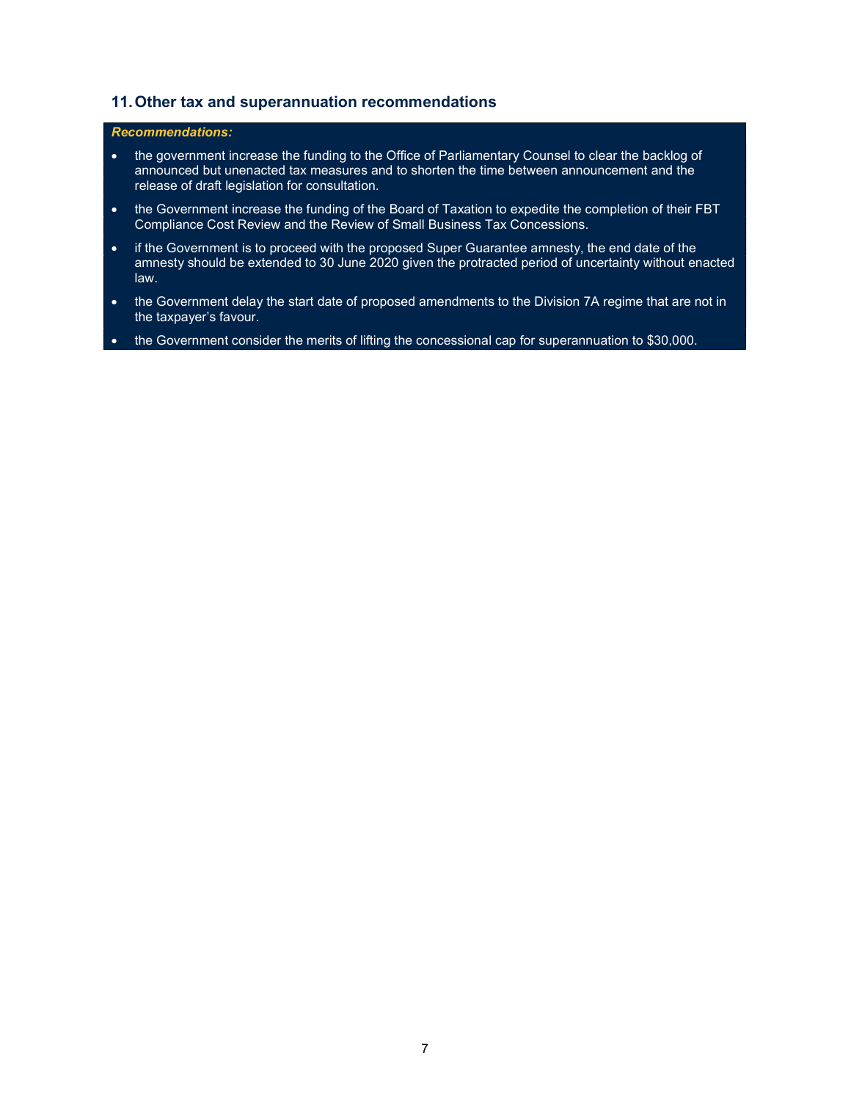## 11. Other tax and superannuation recommendations

## Recommendations:

- the government increase the funding to the Office of Parliamentary Counsel to clear the backlog of announced but unenacted tax measures and to shorten the time between announcement and the release of draft legislation for consultation.
- the Government increase the funding of the Board of Taxation to expedite the completion of their FBT Compliance Cost Review and the Review of Small Business Tax Concessions.
- if the Government is to proceed with the proposed Super Guarantee amnesty, the end date of the amnesty should be extended to 30 June 2020 given the protracted period of uncertainty without enacted law.
- the Government delay the start date of proposed amendments to the Division 7A regime that are not in the taxpayer's favour.
- the Government consider the merits of lifting the concessional cap for superannuation to \$30,000.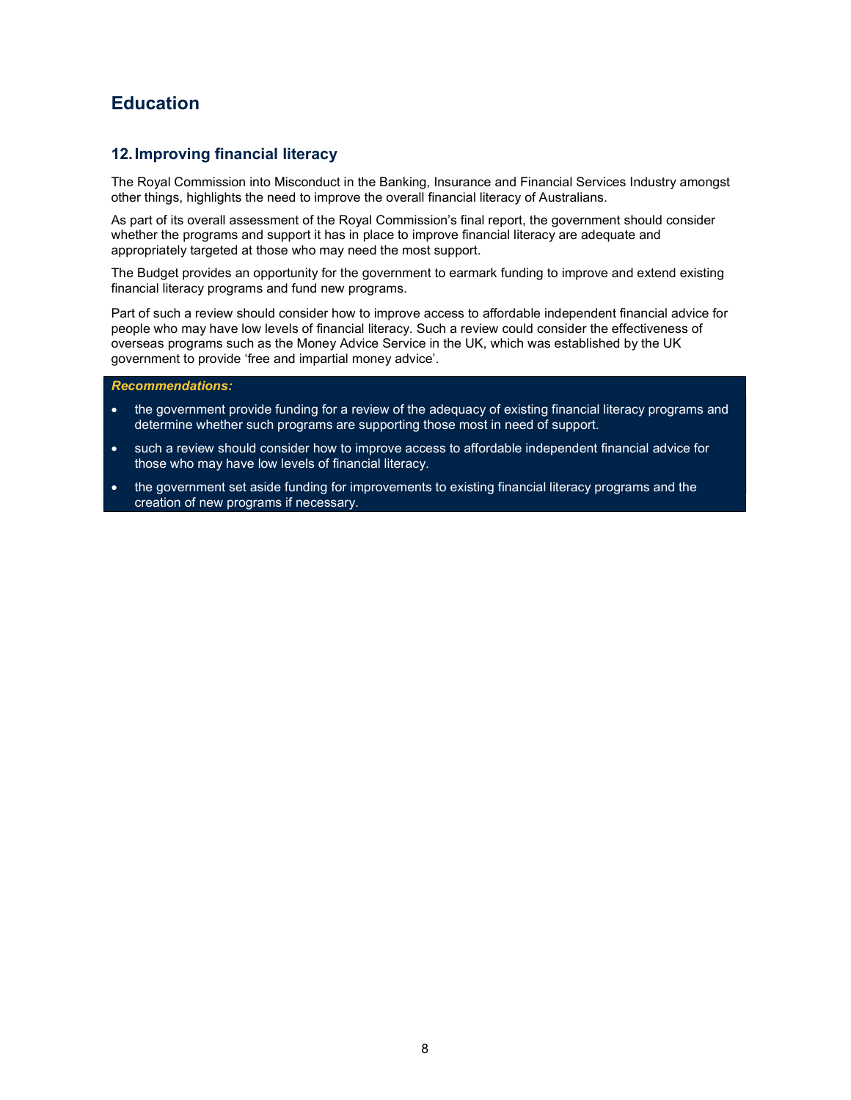## Education

## 12. Improving financial literacy

The Royal Commission into Misconduct in the Banking, Insurance and Financial Services Industry amongst other things, highlights the need to improve the overall financial literacy of Australians.

As part of its overall assessment of the Royal Commission's final report, the government should consider whether the programs and support it has in place to improve financial literacy are adequate and appropriately targeted at those who may need the most support.

The Budget provides an opportunity for the government to earmark funding to improve and extend existing financial literacy programs and fund new programs.

Part of such a review should consider how to improve access to affordable independent financial advice for people who may have low levels of financial literacy. Such a review could consider the effectiveness of overseas programs such as the Money Advice Service in the UK, which was established by the UK government to provide 'free and impartial money advice'.

#### Recommendations:

- the government provide funding for a review of the adequacy of existing financial literacy programs and determine whether such programs are supporting those most in need of support.
- such a review should consider how to improve access to affordable independent financial advice for those who may have low levels of financial literacy.
- the government set aside funding for improvements to existing financial literacy programs and the creation of new programs if necessary.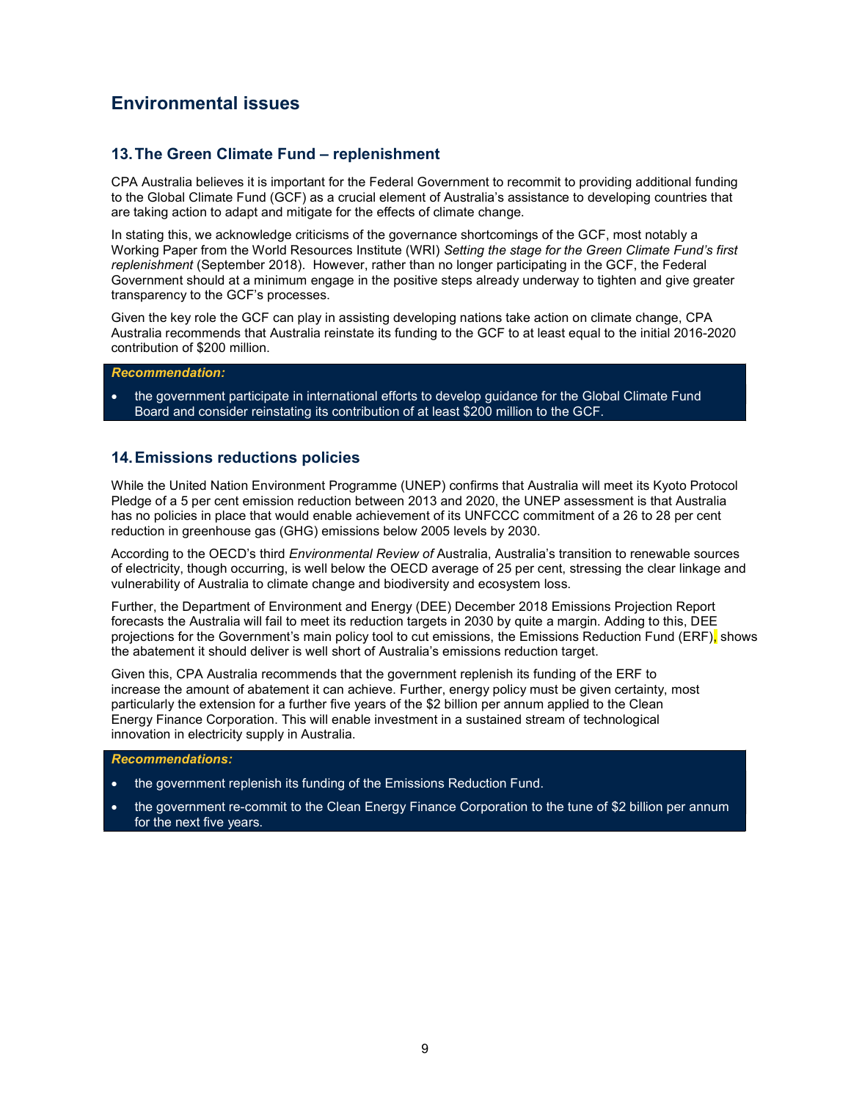## Environmental issues

## 13. The Green Climate Fund – replenishment

CPA Australia believes it is important for the Federal Government to recommit to providing additional funding to the Global Climate Fund (GCF) as a crucial element of Australia's assistance to developing countries that are taking action to adapt and mitigate for the effects of climate change.

In stating this, we acknowledge criticisms of the governance shortcomings of the GCF, most notably a Working Paper from the World Resources Institute (WRI) Setting the stage for the Green Climate Fund's first replenishment (September 2018). However, rather than no longer participating in the GCF, the Federal Government should at a minimum engage in the positive steps already underway to tighten and give greater transparency to the GCF's processes.

Given the key role the GCF can play in assisting developing nations take action on climate change, CPA Australia recommends that Australia reinstate its funding to the GCF to at least equal to the initial 2016-2020 contribution of \$200 million.

#### Recommendation:

• the government participate in international efforts to develop guidance for the Global Climate Fund Board and consider reinstating its contribution of at least \$200 million to the GCF.

## 14. Emissions reductions policies

While the United Nation Environment Programme (UNEP) confirms that Australia will meet its Kyoto Protocol Pledge of a 5 per cent emission reduction between 2013 and 2020, the UNEP assessment is that Australia has no policies in place that would enable achievement of its UNFCCC commitment of a 26 to 28 per cent reduction in greenhouse gas (GHG) emissions below 2005 levels by 2030.

According to the OECD's third *Environmental Review of* Australia, Australia's transition to renewable sources of electricity, though occurring, is well below the OECD average of 25 per cent, stressing the clear linkage and vulnerability of Australia to climate change and biodiversity and ecosystem loss.

Further, the Department of Environment and Energy (DEE) December 2018 Emissions Projection Report forecasts the Australia will fail to meet its reduction targets in 2030 by quite a margin. Adding to this, DEE projections for the Government's main policy tool to cut emissions, the Emissions Reduction Fund (ERF), shows the abatement it should deliver is well short of Australia's emissions reduction target.

Given this, CPA Australia recommends that the government replenish its funding of the ERF to increase the amount of abatement it can achieve. Further, energy policy must be given certainty, most particularly the extension for a further five years of the \$2 billion per annum applied to the Clean Energy Finance Corporation. This will enable investment in a sustained stream of technological innovation in electricity supply in Australia.

#### Recommendations:

- the government replenish its funding of the Emissions Reduction Fund.
- the government re-commit to the Clean Energy Finance Corporation to the tune of \$2 billion per annum for the next five years.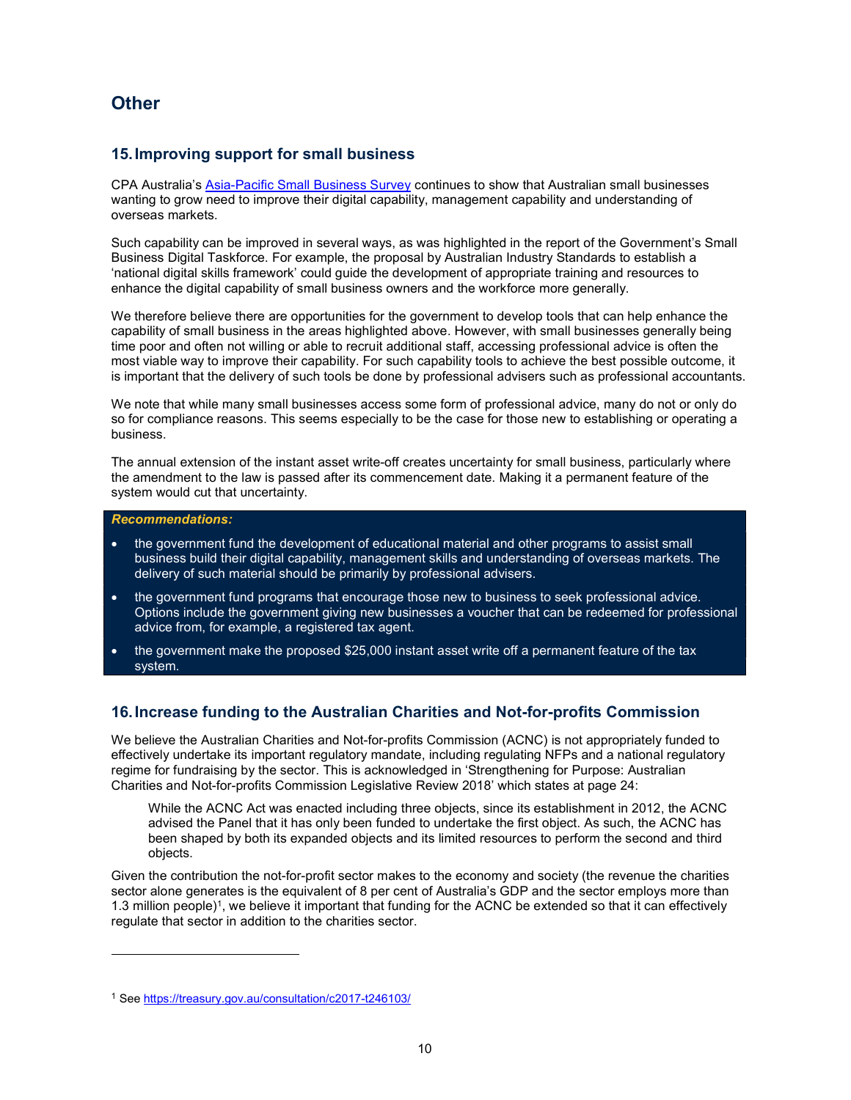## **Other**

## 15. Improving support for small business

CPA Australia's Asia-Pacific Small Business Survey continues to show that Australian small businesses wanting to grow need to improve their digital capability, management capability and understanding of overseas markets.

Such capability can be improved in several ways, as was highlighted in the report of the Government's Small Business Digital Taskforce. For example, the proposal by Australian Industry Standards to establish a 'national digital skills framework' could guide the development of appropriate training and resources to enhance the digital capability of small business owners and the workforce more generally.

We therefore believe there are opportunities for the government to develop tools that can help enhance the capability of small business in the areas highlighted above. However, with small businesses generally being time poor and often not willing or able to recruit additional staff, accessing professional advice is often the most viable way to improve their capability. For such capability tools to achieve the best possible outcome, it is important that the delivery of such tools be done by professional advisers such as professional accountants.

We note that while many small businesses access some form of professional advice, many do not or only do so for compliance reasons. This seems especially to be the case for those new to establishing or operating a business.

The annual extension of the instant asset write-off creates uncertainty for small business, particularly where the amendment to the law is passed after its commencement date. Making it a permanent feature of the system would cut that uncertainty.

## Recommendations:

- the government fund the development of educational material and other programs to assist small business build their digital capability, management skills and understanding of overseas markets. The delivery of such material should be primarily by professional advisers.
- the government fund programs that encourage those new to business to seek professional advice. Options include the government giving new businesses a voucher that can be redeemed for professional advice from, for example, a registered tax agent.
- the government make the proposed \$25,000 instant asset write off a permanent feature of the tax system.

## 16. Increase funding to the Australian Charities and Not-for-profits Commission

We believe the Australian Charities and Not-for-profits Commission (ACNC) is not appropriately funded to effectively undertake its important regulatory mandate, including regulating NFPs and a national regulatory regime for fundraising by the sector. This is acknowledged in 'Strengthening for Purpose: Australian Charities and Not-for-profits Commission Legislative Review 2018' which states at page 24:

While the ACNC Act was enacted including three objects, since its establishment in 2012, the ACNC advised the Panel that it has only been funded to undertake the first object. As such, the ACNC has been shaped by both its expanded objects and its limited resources to perform the second and third objects.

Given the contribution the not-for-profit sector makes to the economy and society (the revenue the charities sector alone generates is the equivalent of 8 per cent of Australia's GDP and the sector employs more than 1.3 million people)<sup>1</sup>, we believe it important that funding for the ACNC be extended so that it can effectively regulate that sector in addition to the charities sector.

<sup>1</sup> See https://treasury.gov.au/consultation/c2017-t246103/